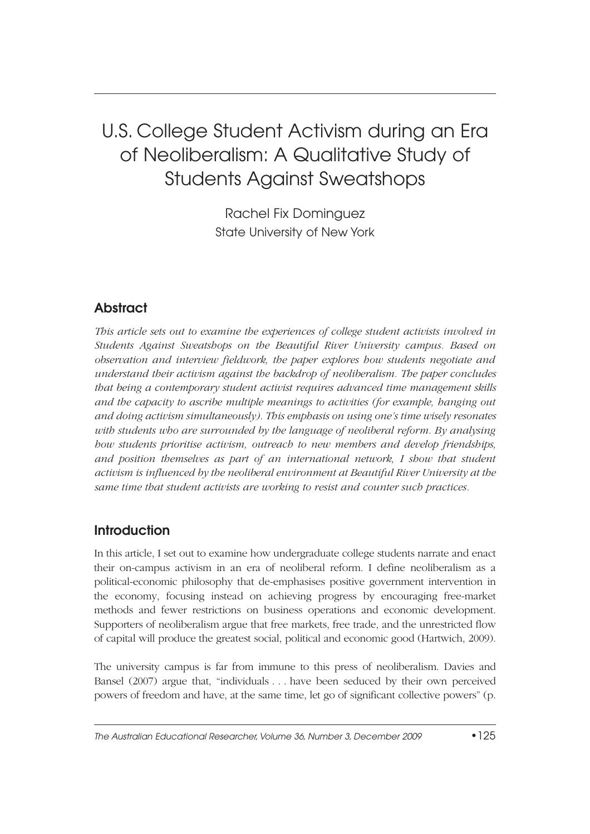# U.S. College Student Activism during an Era of Neoliberalism: A Qualitative Study of Students Against Sweatshops

Rachel Fix Dominguez State University of New York

# **Abstract**

*This article sets out to examine the experiences of college student activists involved in Students Against Sweatshops on the Beautiful River University campus. Based on observation and interview fieldwork, the paper explores how students negotiate and understand their activism against the backdrop of neoliberalism. The paper concludes that being a contemporary student activist requires advanced time management skills and the capacity to ascribe multiple meanings to activities (for example, hanging out and doing activism simultaneously). This emphasis on using one's time wisely resonates with students who are surrounded by the language of neoliberal reform. By analysing how students prioritise activism, outreach to new members and develop friendships, and position themselves as part of an international network, I show that student activism is influenced by the neoliberal environment at Beautiful River University at the same time that student activists are working to resist and counter such practices.*

### **Introduction**

In this article, I set out to examine how undergraduate college students narrate and enact their on-campus activism in an era of neoliberal reform. I define neoliberalism as a political-economic philosophy that de-emphasises positive government intervention in the economy, focusing instead on achieving progress by encouraging free-market methods and fewer restrictions on business operations and economic development. Supporters of neoliberalism argue that free markets, free trade, and the unrestricted flow of capital will produce the greatest social, political and economic good (Hartwich, 2009).

The university campus is far from immune to this press of neoliberalism. Davies and Bansel (2007) argue that, "individuals . . . have been seduced by their own perceived powers of freedom and have, at the same time, let go of significant collective powers" (p.

The Australian Educational Researcher, Volume 36, Number 3, December 2009 •125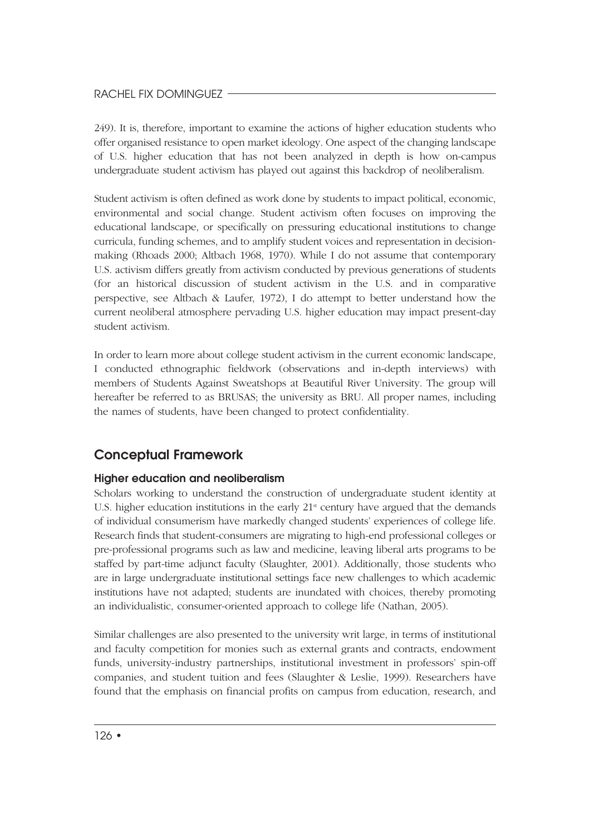249). It is, therefore, important to examine the actions of higher education students who offer organised resistance to open market ideology. One aspect of the changing landscape of U.S. higher education that has not been analyzed in depth is how on-campus undergraduate student activism has played out against this backdrop of neoliberalism.

Student activism is often defined as work done by students to impact political, economic, environmental and social change. Student activism often focuses on improving the educational landscape, or specifically on pressuring educational institutions to change curricula, funding schemes, and to amplify student voices and representation in decisionmaking (Rhoads 2000; Altbach 1968, 1970). While I do not assume that contemporary U.S. activism differs greatly from activism conducted by previous generations of students (for an historical discussion of student activism in the U.S. and in comparative perspective, see Altbach & Laufer, 1972), I do attempt to better understand how the current neoliberal atmosphere pervading U.S. higher education may impact present-day student activism.

In order to learn more about college student activism in the current economic landscape, I conducted ethnographic fieldwork (observations and in-depth interviews) with members of Students Against Sweatshops at Beautiful River University. The group will hereafter be referred to as BRUSAS; the university as BRU. All proper names, including the names of students, have been changed to protect confidentiality.

### **Conceptual Framework**

### **Higher education and neoliberalism**

Scholars working to understand the construction of undergraduate student identity at U.S. higher education institutions in the early  $21<sup>s</sup>$  century have argued that the demands of individual consumerism have markedly changed students' experiences of college life. Research finds that student-consumers are migrating to high-end professional colleges or pre-professional programs such as law and medicine, leaving liberal arts programs to be staffed by part-time adjunct faculty (Slaughter, 2001). Additionally, those students who are in large undergraduate institutional settings face new challenges to which academic institutions have not adapted; students are inundated with choices, thereby promoting an individualistic, consumer-oriented approach to college life (Nathan, 2005).

Similar challenges are also presented to the university writ large, in terms of institutional and faculty competition for monies such as external grants and contracts, endowment funds, university-industry partnerships, institutional investment in professors' spin-off companies, and student tuition and fees (Slaughter & Leslie, 1999). Researchers have found that the emphasis on financial profits on campus from education, research, and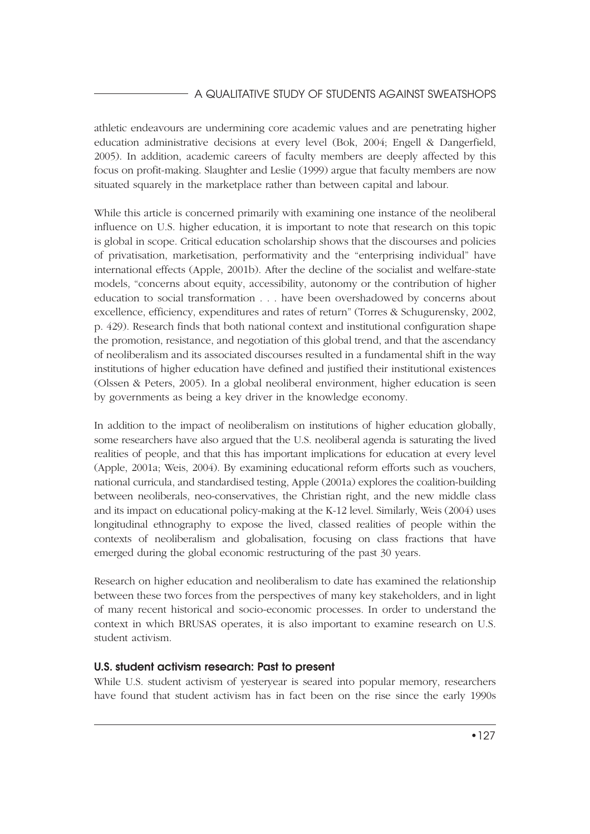### A QUALITATIVE STUDY OF STUDENTS AGAINST SWEATSHOPS

athletic endeavours are undermining core academic values and are penetrating higher education administrative decisions at every level (Bok, 2004; Engell & Dangerfield, 2005). In addition, academic careers of faculty members are deeply affected by this focus on profit-making. Slaughter and Leslie (1999) argue that faculty members are now situated squarely in the marketplace rather than between capital and labour.

While this article is concerned primarily with examining one instance of the neoliberal influence on U.S. higher education, it is important to note that research on this topic is global in scope. Critical education scholarship shows that the discourses and policies of privatisation, marketisation, performativity and the "enterprising individual" have international effects (Apple, 2001b). After the decline of the socialist and welfare-state models, "concerns about equity, accessibility, autonomy or the contribution of higher education to social transformation . . . have been overshadowed by concerns about excellence, efficiency, expenditures and rates of return" (Torres & Schugurensky, 2002, p. 429). Research finds that both national context and institutional configuration shape the promotion, resistance, and negotiation of this global trend, and that the ascendancy of neoliberalism and its associated discourses resulted in a fundamental shift in the way institutions of higher education have defined and justified their institutional existences (Olssen & Peters, 2005). In a global neoliberal environment, higher education is seen by governments as being a key driver in the knowledge economy.

In addition to the impact of neoliberalism on institutions of higher education globally, some researchers have also argued that the U.S. neoliberal agenda is saturating the lived realities of people, and that this has important implications for education at every level (Apple, 2001a; Weis, 2004). By examining educational reform efforts such as vouchers, national curricula, and standardised testing, Apple (2001a) explores the coalition-building between neoliberals, neo-conservatives, the Christian right, and the new middle class and its impact on educational policy-making at the K-12 level. Similarly, Weis (2004) uses longitudinal ethnography to expose the lived, classed realities of people within the contexts of neoliberalism and globalisation, focusing on class fractions that have emerged during the global economic restructuring of the past 30 years.

Research on higher education and neoliberalism to date has examined the relationship between these two forces from the perspectives of many key stakeholders, and in light of many recent historical and socio-economic processes. In order to understand the context in which BRUSAS operates, it is also important to examine research on U.S. student activism.

### **U.S. student activism research: Past to present**

While U.S. student activism of yesteryear is seared into popular memory, researchers have found that student activism has in fact been on the rise since the early 1990s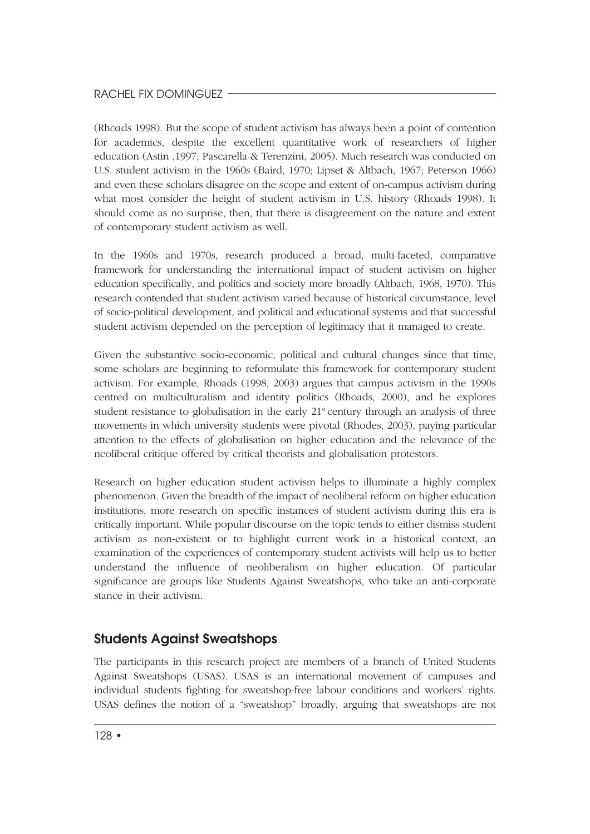(Rhoads 1998). But the scope of student activism has always been a point of contention for academics, despite the excellent quantitative work of researchers of higher education (Astin ,1997; Pascarella & Terenzini, 2005). Much research was conducted on U.S. student activism in the 1960s (Baird, 1970; Lipset & Altbach, 1967; Peterson 1966) and even these scholars disagree on the scope and extent of on-campus activism during what most consider the height of student activism in U.S. history (Rhoads 1998). It should come as no surprise, then, that there is disagreement on the nature and extent of contemporary student activism as well.

In the 1960s and 1970s, research produced a broad, multi-faceted, comparative framework for understanding the international impact of student activism on higher education specifically, and politics and society more broadly (Altbach, 1968, 1970). This research contended that student activism varied because of historical circumstance, level of socio-political development, and political and educational systems and that successful student activism depended on the perception of legitimacy that it managed to create.

Given the substantive socio-economic, political and cultural changes since that time, some scholars are beginning to reformulate this framework for contemporary student activism. For example, Rhoads (1998, 2003) argues that campus activism in the 1990s centred on multiculturalism and identity politics (Rhoads, 2000), and he explores student resistance to globalisation in the early  $21<sup>s</sup>$  century through an analysis of three movements in which university students were pivotal (Rhodes, 2003), paying particular attention to the effects of globalisation on higher education and the relevance of the neoliberal critique offered by critical theorists and globalisation protestors.

Research on higher education student activism helps to illuminate a highly complex phenomenon. Given the breadth of the impact of neoliberal reform on higher education institutions, more research on specific instances of student activism during this era is critically important. While popular discourse on the topic tends to either dismiss student activism as non-existent or to highlight current work in a historical context, an examination of the experiences of contemporary student activists will help us to better understand the influence of neoliberalism on higher education. Of particular significance are groups like Students Against Sweatshops, who take an anti-corporate stance in their activism.

# **Students Against Sweatshops**

The participants in this research project are members of a branch of United Students Against Sweatshops (USAS). USAS is an international movement of campuses and individual students fighting for sweatshop-free labour conditions and workers' rights. USAS defines the notion of a "sweatshop" broadly, arguing that sweatshops are not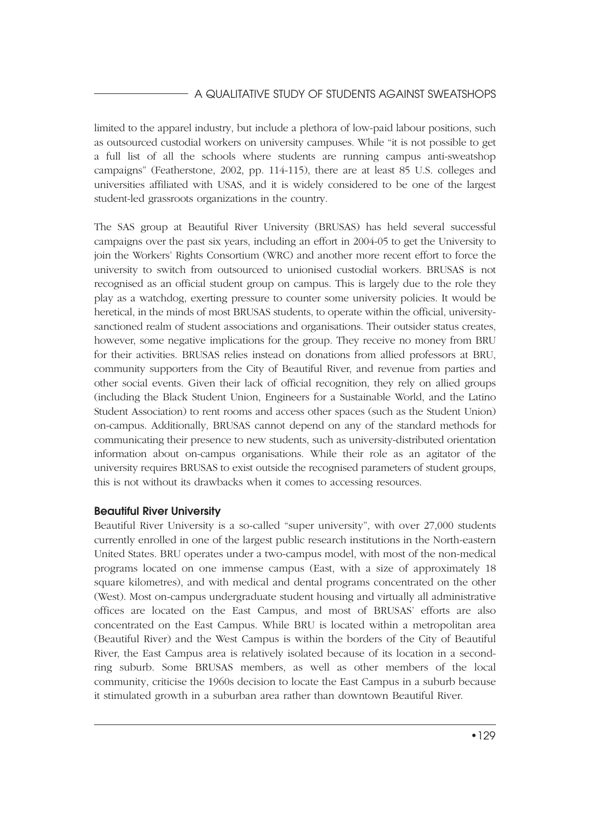limited to the apparel industry, but include a plethora of low-paid labour positions, such as outsourced custodial workers on university campuses. While "it is not possible to get a full list of all the schools where students are running campus anti-sweatshop campaigns" (Featherstone, 2002, pp. 114-115), there are at least 85 U.S. colleges and universities affiliated with USAS, and it is widely considered to be one of the largest student-led grassroots organizations in the country.

The SAS group at Beautiful River University (BRUSAS) has held several successful campaigns over the past six years, including an effort in 2004-05 to get the University to join the Workers' Rights Consortium (WRC) and another more recent effort to force the university to switch from outsourced to unionised custodial workers. BRUSAS is not recognised as an official student group on campus. This is largely due to the role they play as a watchdog, exerting pressure to counter some university policies. It would be heretical, in the minds of most BRUSAS students, to operate within the official, universitysanctioned realm of student associations and organisations. Their outsider status creates, however, some negative implications for the group. They receive no money from BRU for their activities. BRUSAS relies instead on donations from allied professors at BRU, community supporters from the City of Beautiful River, and revenue from parties and other social events. Given their lack of official recognition, they rely on allied groups (including the Black Student Union, Engineers for a Sustainable World, and the Latino Student Association) to rent rooms and access other spaces (such as the Student Union) on-campus. Additionally, BRUSAS cannot depend on any of the standard methods for communicating their presence to new students, such as university-distributed orientation information about on-campus organisations. While their role as an agitator of the university requires BRUSAS to exist outside the recognised parameters of student groups, this is not without its drawbacks when it comes to accessing resources.

### **Beautiful River University**

Beautiful River University is a so-called "super university", with over 27,000 students currently enrolled in one of the largest public research institutions in the North-eastern United States. BRU operates under a two-campus model, with most of the non-medical programs located on one immense campus (East, with a size of approximately 18 square kilometres), and with medical and dental programs concentrated on the other (West). Most on-campus undergraduate student housing and virtually all administrative offices are located on the East Campus, and most of BRUSAS' efforts are also concentrated on the East Campus. While BRU is located within a metropolitan area (Beautiful River) and the West Campus is within the borders of the City of Beautiful River, the East Campus area is relatively isolated because of its location in a secondring suburb. Some BRUSAS members, as well as other members of the local community, criticise the 1960s decision to locate the East Campus in a suburb because it stimulated growth in a suburban area rather than downtown Beautiful River.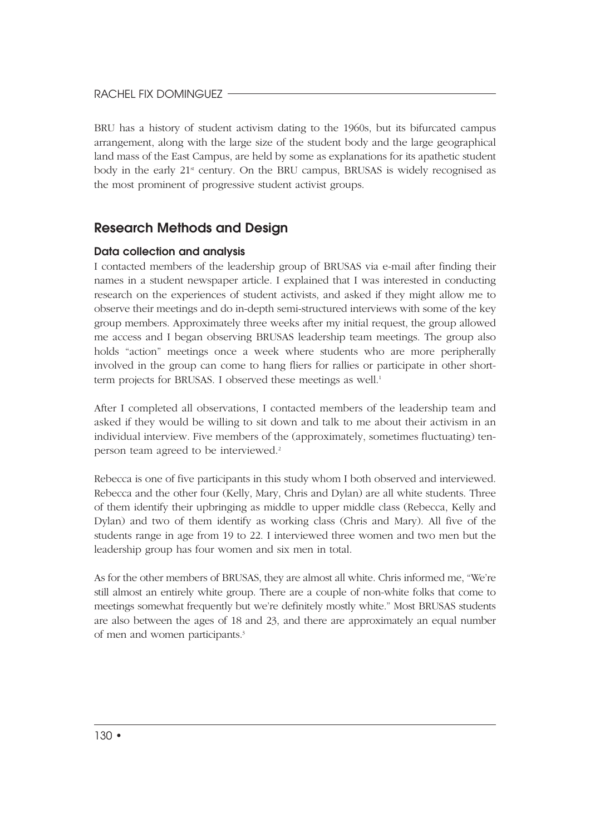BRU has a history of student activism dating to the 1960s, but its bifurcated campus arrangement, along with the large size of the student body and the large geographical land mass of the East Campus, are held by some as explanations for its apathetic student body in the early  $21<sup>st</sup>$  century. On the BRU campus, BRUSAS is widely recognised as the most prominent of progressive student activist groups.

### **Research Methods and Design**

### **Data collection and analysis**

I contacted members of the leadership group of BRUSAS via e-mail after finding their names in a student newspaper article. I explained that I was interested in conducting research on the experiences of student activists, and asked if they might allow me to observe their meetings and do in-depth semi-structured interviews with some of the key group members. Approximately three weeks after my initial request, the group allowed me access and I began observing BRUSAS leadership team meetings. The group also holds "action" meetings once a week where students who are more peripherally involved in the group can come to hang fliers for rallies or participate in other shortterm projects for BRUSAS. I observed these meetings as well.<sup>1</sup>

After I completed all observations, I contacted members of the leadership team and asked if they would be willing to sit down and talk to me about their activism in an individual interview. Five members of the (approximately, sometimes fluctuating) tenperson team agreed to be interviewed.<sup>2</sup>

Rebecca is one of five participants in this study whom I both observed and interviewed. Rebecca and the other four (Kelly, Mary, Chris and Dylan) are all white students. Three of them identify their upbringing as middle to upper middle class (Rebecca, Kelly and Dylan) and two of them identify as working class (Chris and Mary). All five of the students range in age from 19 to 22. I interviewed three women and two men but the leadership group has four women and six men in total.

As for the other members of BRUSAS, they are almost all white. Chris informed me, "We're still almost an entirely white group. There are a couple of non-white folks that come to meetings somewhat frequently but we're definitely mostly white." Most BRUSAS students are also between the ages of 18 and 23, and there are approximately an equal number of men and women participants.3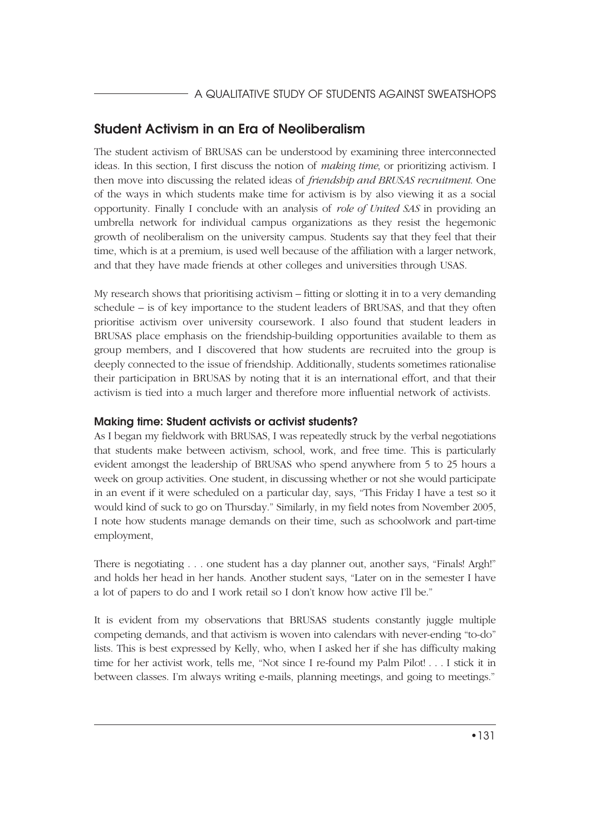# **Student Activism in an Era of Neoliberalism**

The student activism of BRUSAS can be understood by examining three interconnected ideas. In this section, I first discuss the notion of *making time*, or prioritizing activism. I then move into discussing the related ideas of *friendship and BRUSAS recruitment*. One of the ways in which students make time for activism is by also viewing it as a social opportunity. Finally I conclude with an analysis of *role of United SAS* in providing an umbrella network for individual campus organizations as they resist the hegemonic growth of neoliberalism on the university campus. Students say that they feel that their time, which is at a premium, is used well because of the affiliation with a larger network, and that they have made friends at other colleges and universities through USAS.

My research shows that prioritising activism – fitting or slotting it in to a very demanding schedule – is of key importance to the student leaders of BRUSAS, and that they often prioritise activism over university coursework. I also found that student leaders in BRUSAS place emphasis on the friendship-building opportunities available to them as group members, and I discovered that how students are recruited into the group is deeply connected to the issue of friendship. Additionally, students sometimes rationalise their participation in BRUSAS by noting that it is an international effort, and that their activism is tied into a much larger and therefore more influential network of activists.

### **Making time: Student activists or activist students?**

As I began my fieldwork with BRUSAS, I was repeatedly struck by the verbal negotiations that students make between activism, school, work, and free time. This is particularly evident amongst the leadership of BRUSAS who spend anywhere from 5 to 25 hours a week on group activities. One student, in discussing whether or not she would participate in an event if it were scheduled on a particular day, says, "This Friday I have a test so it would kind of suck to go on Thursday." Similarly, in my field notes from November 2005, I note how students manage demands on their time, such as schoolwork and part-time employment,

There is negotiating . . . one student has a day planner out, another says, "Finals! Argh!" and holds her head in her hands. Another student says, "Later on in the semester I have a lot of papers to do and I work retail so I don't know how active I'll be."

It is evident from my observations that BRUSAS students constantly juggle multiple competing demands, and that activism is woven into calendars with never-ending "to-do" lists. This is best expressed by Kelly, who, when I asked her if she has difficulty making time for her activist work, tells me, "Not since I re-found my Palm Pilot! . . . I stick it in between classes. I'm always writing e-mails, planning meetings, and going to meetings."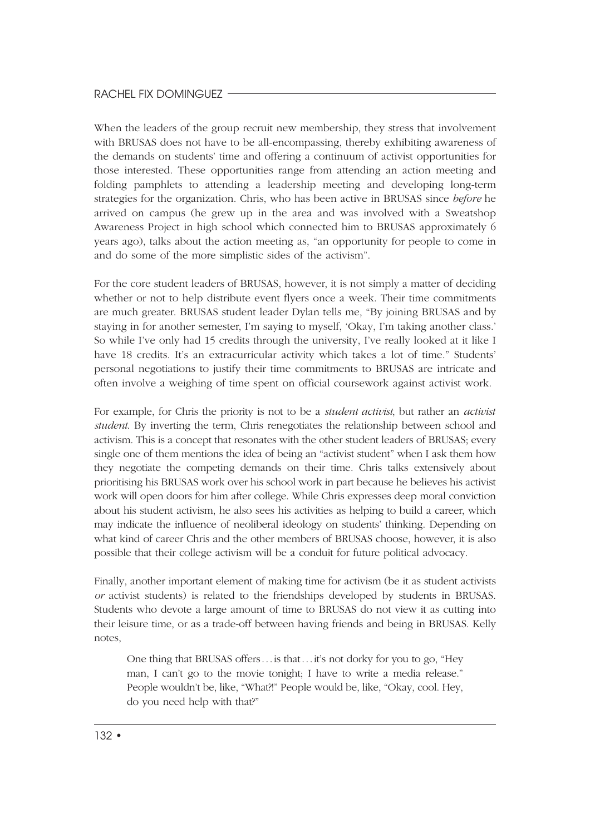When the leaders of the group recruit new membership, they stress that involvement with BRUSAS does not have to be all-encompassing, thereby exhibiting awareness of the demands on students' time and offering a continuum of activist opportunities for those interested. These opportunities range from attending an action meeting and folding pamphlets to attending a leadership meeting and developing long-term strategies for the organization. Chris, who has been active in BRUSAS since *before* he arrived on campus (he grew up in the area and was involved with a Sweatshop Awareness Project in high school which connected him to BRUSAS approximately 6 years ago), talks about the action meeting as, "an opportunity for people to come in and do some of the more simplistic sides of the activism".

For the core student leaders of BRUSAS, however, it is not simply a matter of deciding whether or not to help distribute event flyers once a week. Their time commitments are much greater. BRUSAS student leader Dylan tells me, "By joining BRUSAS and by staying in for another semester, I'm saying to myself, 'Okay, I'm taking another class.' So while I've only had 15 credits through the university, I've really looked at it like I have 18 credits. It's an extracurricular activity which takes a lot of time." Students' personal negotiations to justify their time commitments to BRUSAS are intricate and often involve a weighing of time spent on official coursework against activist work.

For example, for Chris the priority is not to be a *student activist*, but rather an *activist student*. By inverting the term, Chris renegotiates the relationship between school and activism. This is a concept that resonates with the other student leaders of BRUSAS; every single one of them mentions the idea of being an "activist student" when I ask them how they negotiate the competing demands on their time. Chris talks extensively about prioritising his BRUSAS work over his school work in part because he believes his activist work will open doors for him after college. While Chris expresses deep moral conviction about his student activism, he also sees his activities as helping to build a career, which may indicate the influence of neoliberal ideology on students' thinking. Depending on what kind of career Chris and the other members of BRUSAS choose, however, it is also possible that their college activism will be a conduit for future political advocacy.

Finally, another important element of making time for activism (be it as student activists *or* activist students) is related to the friendships developed by students in BRUSAS. Students who devote a large amount of time to BRUSAS do not view it as cutting into their leisure time, or as a trade-off between having friends and being in BRUSAS. Kelly notes,

One thing that BRUSAS offers ... is that ... it's not dorky for you to go, "Hey man, I can't go to the movie tonight; I have to write a media release." People wouldn't be, like, "What?!" People would be, like, "Okay, cool. Hey, do you need help with that?"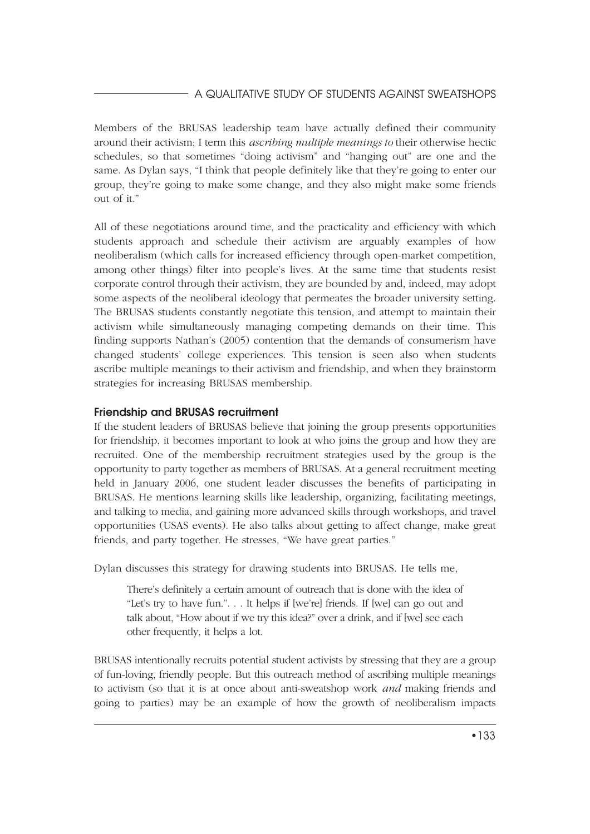Members of the BRUSAS leadership team have actually defined their community around their activism; I term this *ascribing multiple meanings to* their otherwise hectic schedules, so that sometimes "doing activism" and "hanging out" are one and the same. As Dylan says, "I think that people definitely like that they're going to enter our group, they're going to make some change, and they also might make some friends out of it."

All of these negotiations around time, and the practicality and efficiency with which students approach and schedule their activism are arguably examples of how neoliberalism (which calls for increased efficiency through open-market competition, among other things) filter into people's lives. At the same time that students resist corporate control through their activism, they are bounded by and, indeed, may adopt some aspects of the neoliberal ideology that permeates the broader university setting. The BRUSAS students constantly negotiate this tension, and attempt to maintain their activism while simultaneously managing competing demands on their time. This finding supports Nathan's (2005) contention that the demands of consumerism have changed students' college experiences. This tension is seen also when students ascribe multiple meanings to their activism and friendship, and when they brainstorm strategies for increasing BRUSAS membership.

### **Friendship and BRUSAS recruitment**

If the student leaders of BRUSAS believe that joining the group presents opportunities for friendship, it becomes important to look at who joins the group and how they are recruited. One of the membership recruitment strategies used by the group is the opportunity to party together as members of BRUSAS. At a general recruitment meeting held in January 2006, one student leader discusses the benefits of participating in BRUSAS. He mentions learning skills like leadership, organizing, facilitating meetings, and talking to media, and gaining more advanced skills through workshops, and travel opportunities (USAS events). He also talks about getting to affect change, make great friends, and party together. He stresses, "We have great parties."

Dylan discusses this strategy for drawing students into BRUSAS. He tells me,

There's definitely a certain amount of outreach that is done with the idea of "Let's try to have fun.". . . It helps if [we're] friends. If [we] can go out and talk about, "How about if we try this idea?" over a drink, and if [we] see each other frequently, it helps a lot.

BRUSAS intentionally recruits potential student activists by stressing that they are a group of fun-loving, friendly people. But this outreach method of ascribing multiple meanings to activism (so that it is at once about anti-sweatshop work *and* making friends and going to parties) may be an example of how the growth of neoliberalism impacts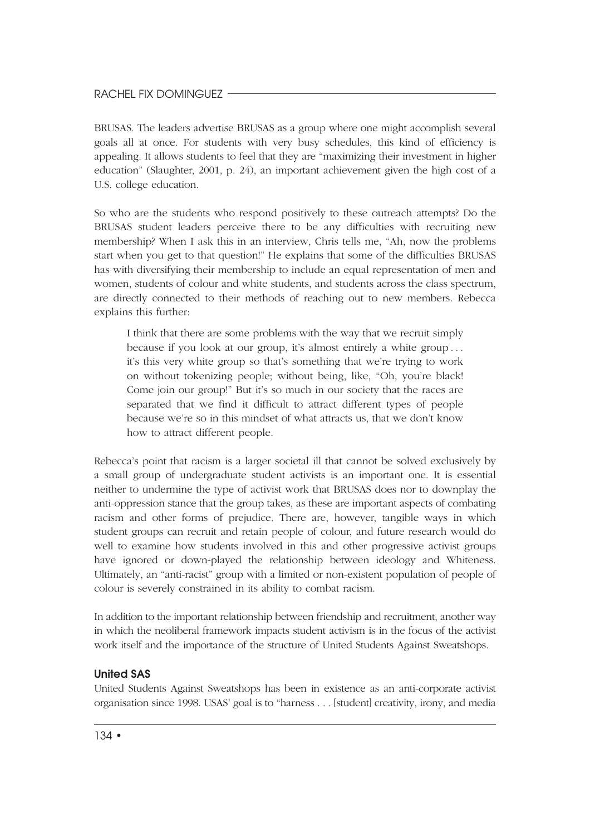BRUSAS. The leaders advertise BRUSAS as a group where one might accomplish several goals all at once. For students with very busy schedules, this kind of efficiency is appealing. It allows students to feel that they are "maximizing their investment in higher education" (Slaughter, 2001, p. 24), an important achievement given the high cost of a U.S. college education.

So who are the students who respond positively to these outreach attempts? Do the BRUSAS student leaders perceive there to be any difficulties with recruiting new membership? When I ask this in an interview, Chris tells me, "Ah, now the problems start when you get to that question!" He explains that some of the difficulties BRUSAS has with diversifying their membership to include an equal representation of men and women, students of colour and white students, and students across the class spectrum, are directly connected to their methods of reaching out to new members. Rebecca explains this further:

I think that there are some problems with the way that we recruit simply because if you look at our group, it's almost entirely a white group . . . it's this very white group so that's something that we're trying to work on without tokenizing people; without being, like, "Oh, you're black! Come join our group!" But it's so much in our society that the races are separated that we find it difficult to attract different types of people because we're so in this mindset of what attracts us, that we don't know how to attract different people.

Rebecca's point that racism is a larger societal ill that cannot be solved exclusively by a small group of undergraduate student activists is an important one. It is essential neither to undermine the type of activist work that BRUSAS does nor to downplay the anti-oppression stance that the group takes, as these are important aspects of combating racism and other forms of prejudice. There are, however, tangible ways in which student groups can recruit and retain people of colour, and future research would do well to examine how students involved in this and other progressive activist groups have ignored or down-played the relationship between ideology and Whiteness. Ultimately, an "anti-racist" group with a limited or non-existent population of people of colour is severely constrained in its ability to combat racism.

In addition to the important relationship between friendship and recruitment, another way in which the neoliberal framework impacts student activism is in the focus of the activist work itself and the importance of the structure of United Students Against Sweatshops.

### **United SAS**

United Students Against Sweatshops has been in existence as an anti-corporate activist organisation since 1998. USAS' goal is to "harness . . . [student] creativity, irony, and media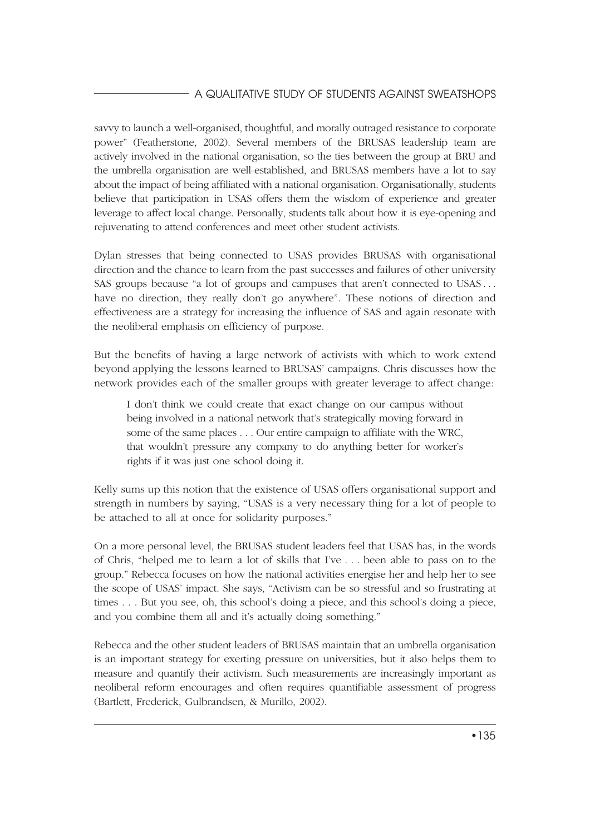savvy to launch a well-organised, thoughtful, and morally outraged resistance to corporate power" (Featherstone, 2002). Several members of the BRUSAS leadership team are actively involved in the national organisation, so the ties between the group at BRU and the umbrella organisation are well-established, and BRUSAS members have a lot to say about the impact of being affiliated with a national organisation. Organisationally, students believe that participation in USAS offers them the wisdom of experience and greater leverage to affect local change. Personally, students talk about how it is eye-opening and rejuvenating to attend conferences and meet other student activists.

Dylan stresses that being connected to USAS provides BRUSAS with organisational direction and the chance to learn from the past successes and failures of other university SAS groups because "a lot of groups and campuses that aren't connected to USAS . . . have no direction, they really don't go anywhere". These notions of direction and effectiveness are a strategy for increasing the influence of SAS and again resonate with the neoliberal emphasis on efficiency of purpose.

But the benefits of having a large network of activists with which to work extend beyond applying the lessons learned to BRUSAS' campaigns. Chris discusses how the network provides each of the smaller groups with greater leverage to affect change:

I don't think we could create that exact change on our campus without being involved in a national network that's strategically moving forward in some of the same places . . . Our entire campaign to affiliate with the WRC, that wouldn't pressure any company to do anything better for worker's rights if it was just one school doing it.

Kelly sums up this notion that the existence of USAS offers organisational support and strength in numbers by saying, "USAS is a very necessary thing for a lot of people to be attached to all at once for solidarity purposes."

On a more personal level, the BRUSAS student leaders feel that USAS has, in the words of Chris, "helped me to learn a lot of skills that I've . . . been able to pass on to the group." Rebecca focuses on how the national activities energise her and help her to see the scope of USAS' impact. She says, "Activism can be so stressful and so frustrating at times . . . But you see, oh, this school's doing a piece, and this school's doing a piece, and you combine them all and it's actually doing something."

Rebecca and the other student leaders of BRUSAS maintain that an umbrella organisation is an important strategy for exerting pressure on universities, but it also helps them to measure and quantify their activism. Such measurements are increasingly important as neoliberal reform encourages and often requires quantifiable assessment of progress (Bartlett, Frederick, Gulbrandsen, & Murillo, 2002).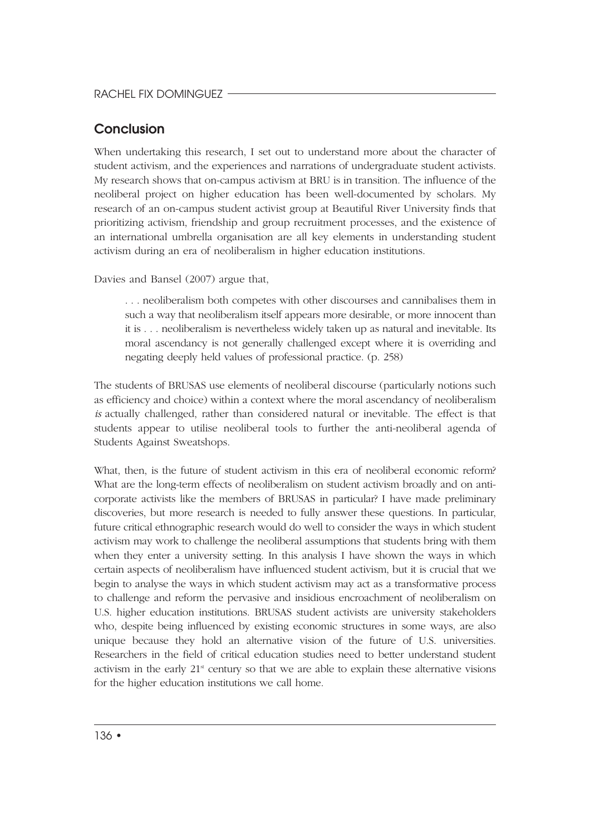## **Conclusion**

When undertaking this research, I set out to understand more about the character of student activism, and the experiences and narrations of undergraduate student activists. My research shows that on-campus activism at BRU is in transition. The influence of the neoliberal project on higher education has been well-documented by scholars. My research of an on-campus student activist group at Beautiful River University finds that prioritizing activism, friendship and group recruitment processes, and the existence of an international umbrella organisation are all key elements in understanding student activism during an era of neoliberalism in higher education institutions.

Davies and Bansel (2007) argue that,

. . . neoliberalism both competes with other discourses and cannibalises them in such a way that neoliberalism itself appears more desirable, or more innocent than it is . . . neoliberalism is nevertheless widely taken up as natural and inevitable. Its moral ascendancy is not generally challenged except where it is overriding and negating deeply held values of professional practice. (p. 258)

The students of BRUSAS use elements of neoliberal discourse (particularly notions such as efficiency and choice) within a context where the moral ascendancy of neoliberalism *is* actually challenged, rather than considered natural or inevitable. The effect is that students appear to utilise neoliberal tools to further the anti-neoliberal agenda of Students Against Sweatshops.

What, then, is the future of student activism in this era of neoliberal economic reform? What are the long-term effects of neoliberalism on student activism broadly and on anticorporate activists like the members of BRUSAS in particular? I have made preliminary discoveries, but more research is needed to fully answer these questions. In particular, future critical ethnographic research would do well to consider the ways in which student activism may work to challenge the neoliberal assumptions that students bring with them when they enter a university setting. In this analysis I have shown the ways in which certain aspects of neoliberalism have influenced student activism, but it is crucial that we begin to analyse the ways in which student activism may act as a transformative process to challenge and reform the pervasive and insidious encroachment of neoliberalism on U.S. higher education institutions. BRUSAS student activists are university stakeholders who, despite being influenced by existing economic structures in some ways, are also unique because they hold an alternative vision of the future of U.S. universities. Researchers in the field of critical education studies need to better understand student activism in the early  $21<sup>st</sup>$  century so that we are able to explain these alternative visions for the higher education institutions we call home.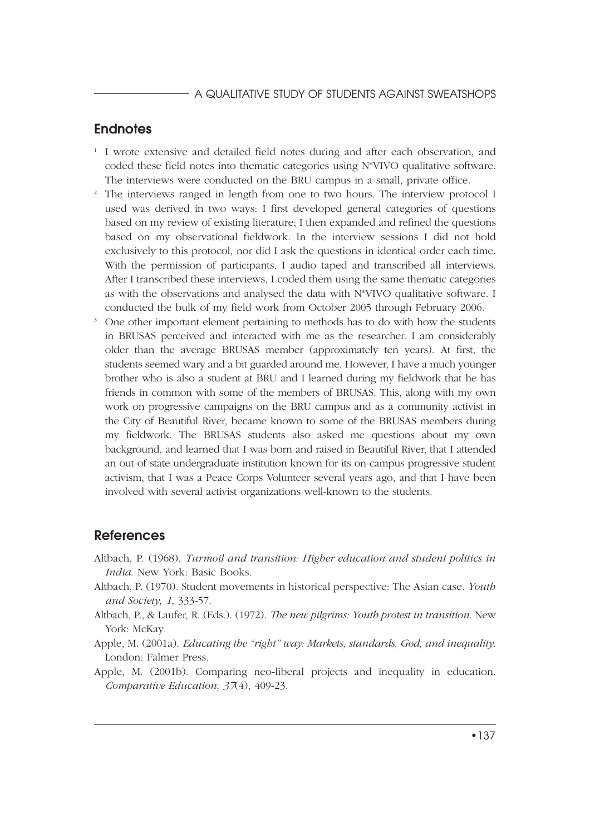### **Endnotes**

- <sup>1</sup> I wrote extensive and detailed field notes during and after each observation, and coded these field notes into thematic categories using N\*VIVO qualitative software. The interviews were conducted on the BRU campus in a small, private office.
- <sup>2</sup> The interviews ranged in length from one to two hours. The interview protocol I used was derived in two ways: I first developed general categories of questions based on my review of existing literature; I then expanded and refined the questions based on my observational fieldwork. In the interview sessions I did not hold exclusively to this protocol, nor did I ask the questions in identical order each time. With the permission of participants, I audio taped and transcribed all interviews. After I transcribed these interviews, I coded them using the same thematic categories as with the observations and analysed the data with N\*VIVO qualitative software. I conducted the bulk of my field work from October 2005 through February 2006.
- <sup>3</sup> One other important element pertaining to methods has to do with how the students in BRUSAS perceived and interacted with me as the researcher. I am considerably older than the average BRUSAS member (approximately ten years). At first, the students seemed wary and a bit guarded around me. However, I have a much younger brother who is also a student at BRU and I learned during my fieldwork that he has friends in common with some of the members of BRUSAS. This, along with my own work on progressive campaigns on the BRU campus and as a community activist in the City of Beautiful River, became known to some of the BRUSAS members during my fieldwork. The BRUSAS students also asked me questions about my own background, and learned that I was born and raised in Beautiful River, that I attended an out-of-state undergraduate institution known for its on-campus progressive student activism, that I was a Peace Corps Volunteer several years ago, and that I have been involved with several activist organizations well-known to the students.

### **References**

- Altbach, P. (1968). *Turmoil and transition: Higher education and student politics in India*. New York: Basic Books.
- Altbach, P. (1970). Student movements in historical perspective: The Asian case. *Youth and Society, 1*, 333-57.
- Altbach, P., & Laufer, R. (Eds.). (1972). *The new pilgrims: Youth protest in transition*. New York: McKay.
- Apple, M. (2001a). *Educating the "right" way: Markets, standards, God, and inequality*. London: Falmer Press.
- Apple, M. (2001b). Comparing neo-liberal projects and inequality in education. *Comparative Education, 37*(4), 409-23.